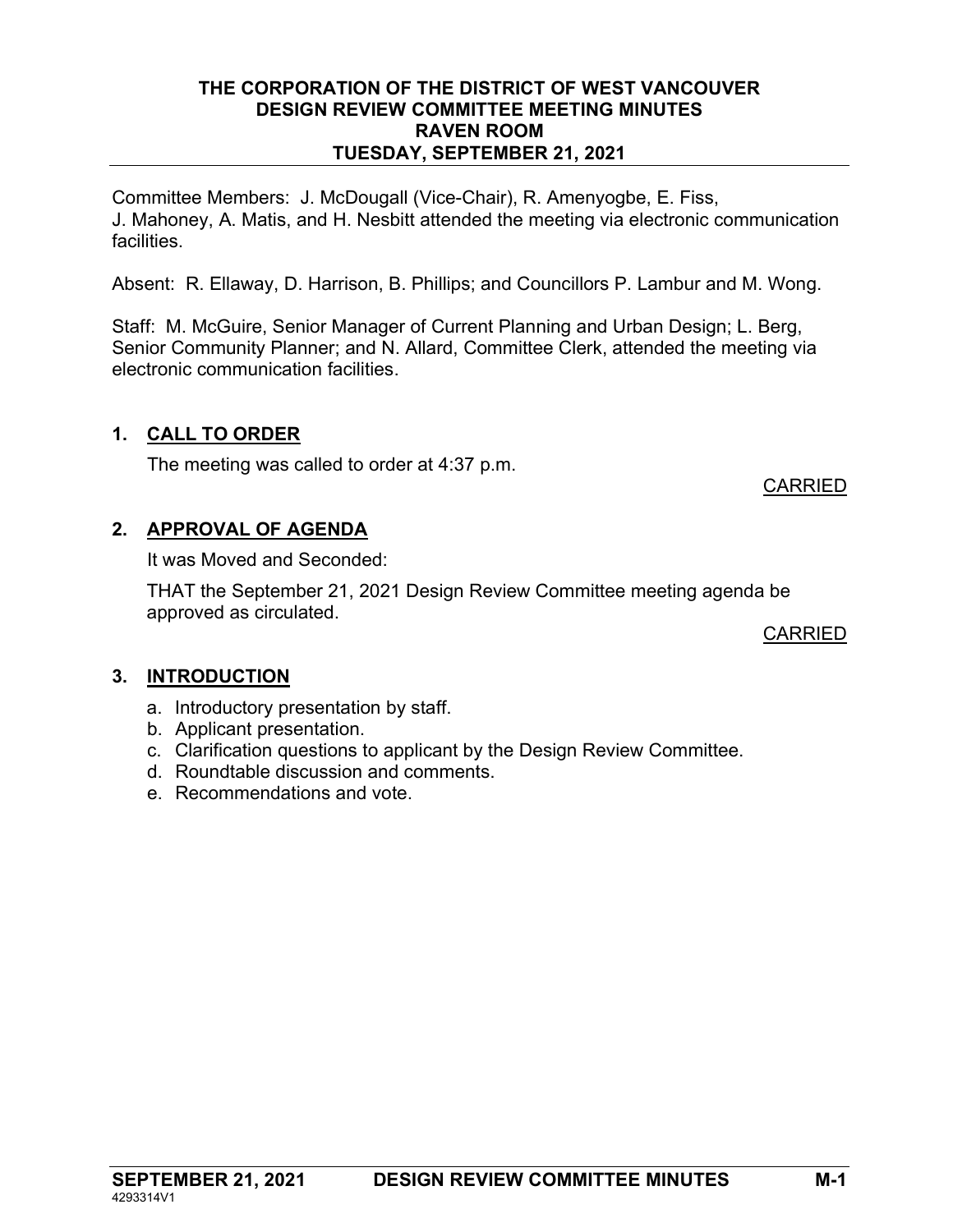#### THE CORPORATION OF THE DISTRICT OF WEST VANCOUVER DESIGN REVIEW COMMITTEE MEETING MINUTES RAVEN ROOM TUESDAY, SEPTEMBER 21, 2021

Committee Members: J. McDougall (Vice-Chair), R. Amenyogbe, E. Fiss, J. Mahoney, A. Matis, and H. Nesbitt attended the meeting via electronic communication facilities.

Absent: R. Ellaway, D. Harrison, B. Phillips; and Councillors P. Lambur and M. Wong.

Staff: M. McGuire, Senior Manager of Current Planning and Urban Design; L. Berg, Senior Community Planner; and N. Allard, Committee Clerk, attended the meeting via electronic communication facilities.

# 1. CALL TO ORDER

The meeting was called to order at 4:37 p.m.

### CARRIED

# 2. APPROVAL OF AGENDA

It was Moved and Seconded:

THAT the September 21, 2021 Design Review Committee meeting agenda be approved as circulated.

CARRIED

# 3. INTRODUCTION

- a. Introductory presentation by staff.
- b. Applicant presentation.
- c. Clarification questions to applicant by the Design Review Committee.
- d. Roundtable discussion and comments.
- e. Recommendations and vote.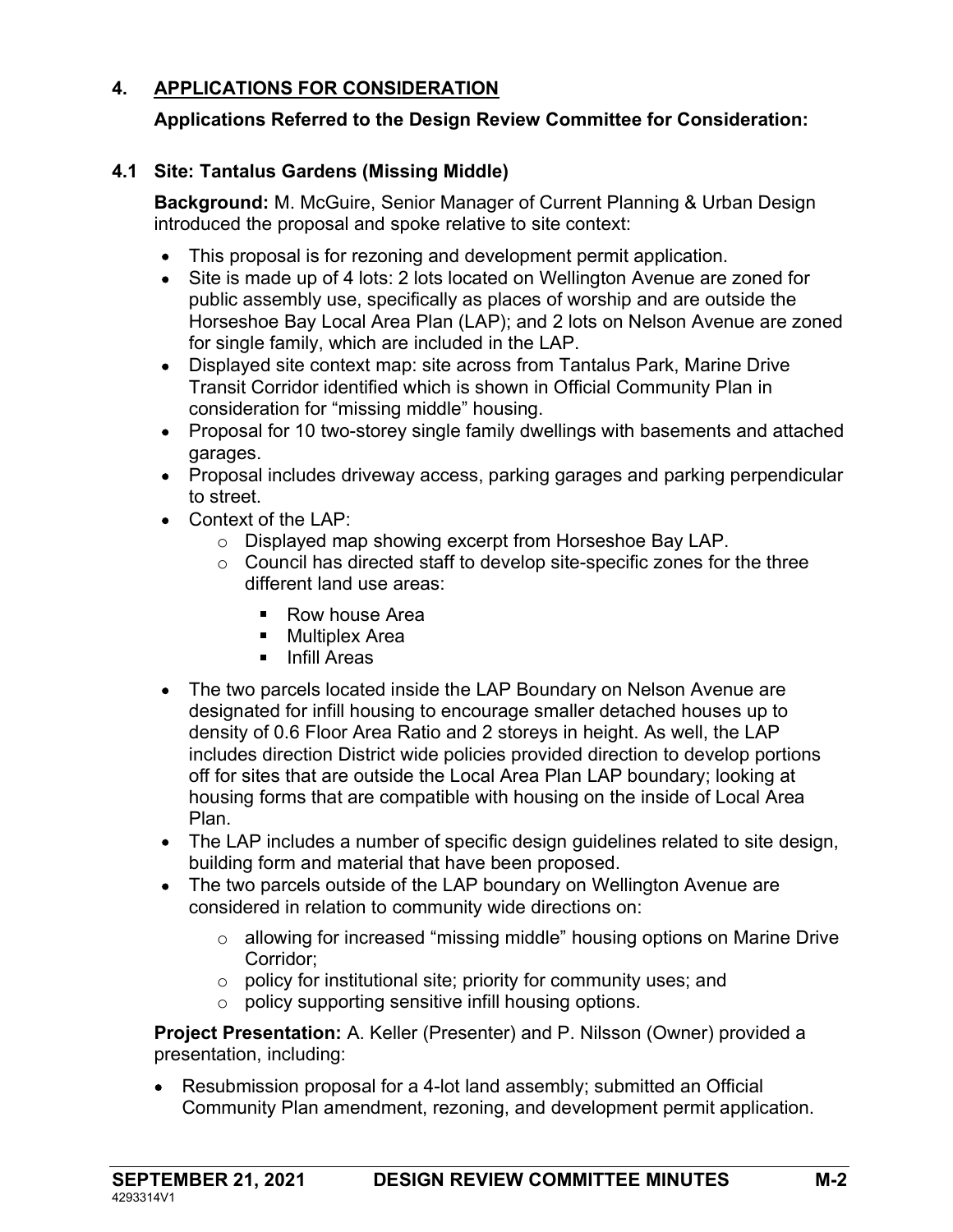# 4. APPLICATIONS FOR CONSIDERATION

### Applications Referred to the Design Review Committee for Consideration:

#### 4.1 Site: Tantalus Gardens (Missing Middle)

Background: M. McGuire, Senior Manager of Current Planning & Urban Design introduced the proposal and spoke relative to site context:

- This proposal is for rezoning and development permit application.
- Site is made up of 4 lots: 2 lots located on Wellington Avenue are zoned for public assembly use, specifically as places of worship and are outside the Horseshoe Bay Local Area Plan (LAP); and 2 lots on Nelson Avenue are zoned for single family, which are included in the LAP.
- Displayed site context map: site across from Tantalus Park, Marine Drive Transit Corridor identified which is shown in Official Community Plan in consideration for "missing middle" housing.
- Proposal for 10 two-storey single family dwellings with basements and attached garages.
- Proposal includes driveway access, parking garages and parking perpendicular to street.
- Context of the LAP:
	- o Displayed map showing excerpt from Horseshoe Bay LAP.
	- o Council has directed staff to develop site-specific zones for the three different land use areas:
		- Row house Area
		- **Multiplex Area**
		- **I** Infill Areas
- The two parcels located inside the LAP Boundary on Nelson Avenue are designated for infill housing to encourage smaller detached houses up to density of 0.6 Floor Area Ratio and 2 storeys in height. As well, the LAP includes direction District wide policies provided direction to develop portions off for sites that are outside the Local Area Plan LAP boundary; looking at housing forms that are compatible with housing on the inside of Local Area Plan.
- The LAP includes a number of specific design guidelines related to site design, building form and material that have been proposed.
- The two parcels outside of the LAP boundary on Wellington Avenue are considered in relation to community wide directions on:
	- $\circ$  allowing for increased "missing middle" housing options on Marine Drive Corridor;
	- o policy for institutional site; priority for community uses; and
	- o policy supporting sensitive infill housing options.

Project Presentation: A. Keller (Presenter) and P. Nilsson (Owner) provided a presentation, including:

 Resubmission proposal for a 4-lot land assembly; submitted an Official Community Plan amendment, rezoning, and development permit application.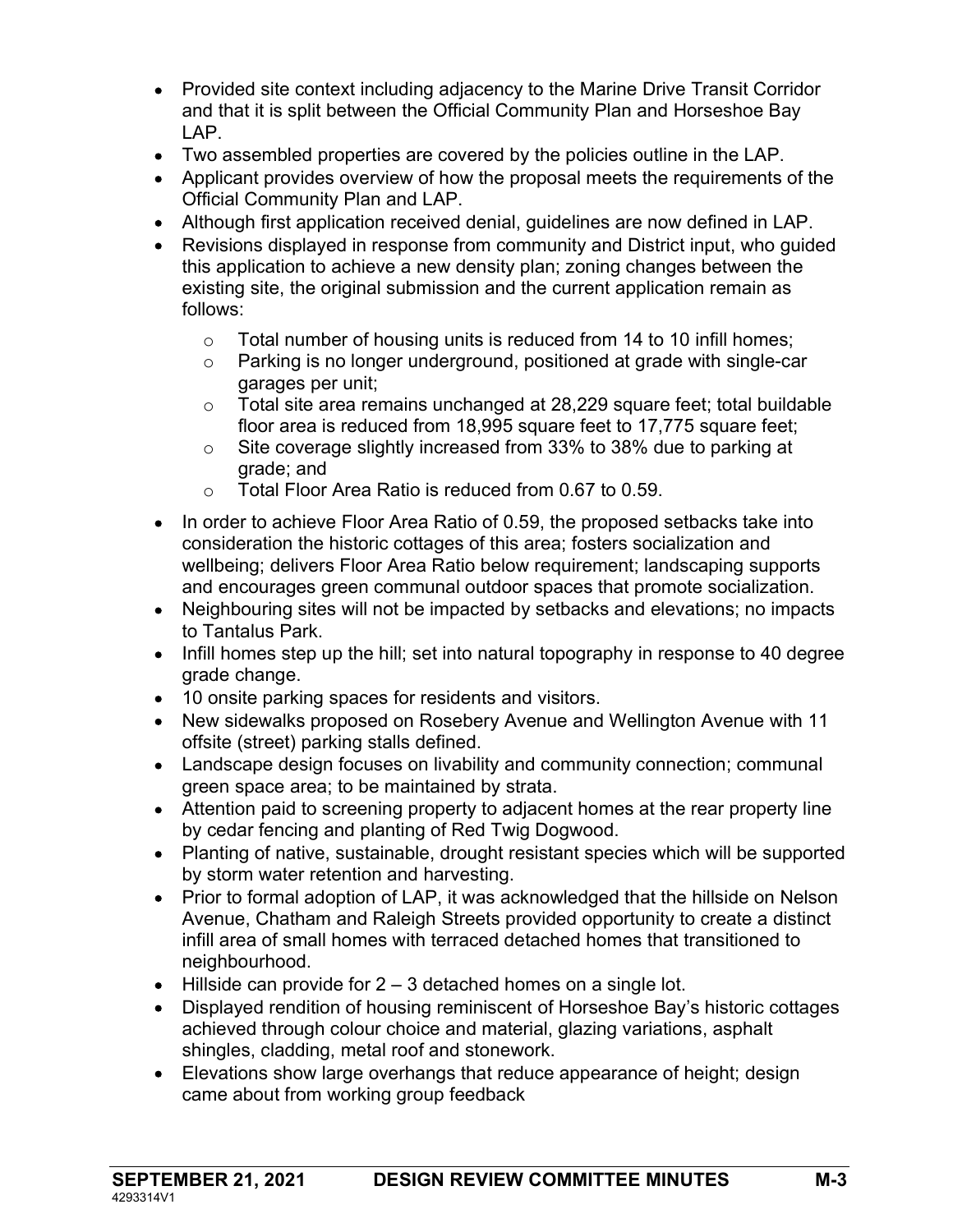- Provided site context including adjacency to the Marine Drive Transit Corridor and that it is split between the Official Community Plan and Horseshoe Bay LAP.
- Two assembled properties are covered by the policies outline in the LAP.
- Applicant provides overview of how the proposal meets the requirements of the Official Community Plan and LAP.
- Although first application received denial, guidelines are now defined in LAP.
- Revisions displayed in response from community and District input, who guided this application to achieve a new density plan; zoning changes between the existing site, the original submission and the current application remain as follows:
	- o Total number of housing units is reduced from 14 to 10 infill homes;
	- o Parking is no longer underground, positioned at grade with single-car garages per unit;
	- o Total site area remains unchanged at 28,229 square feet; total buildable floor area is reduced from 18,995 square feet to 17,775 square feet;
	- o Site coverage slightly increased from 33% to 38% due to parking at grade; and
	- o Total Floor Area Ratio is reduced from 0.67 to 0.59.
- In order to achieve Floor Area Ratio of 0.59, the proposed setbacks take into consideration the historic cottages of this area; fosters socialization and wellbeing; delivers Floor Area Ratio below requirement; landscaping supports and encourages green communal outdoor spaces that promote socialization.
- Neighbouring sites will not be impacted by setbacks and elevations; no impacts to Tantalus Park.
- Infill homes step up the hill; set into natural topography in response to 40 degree grade change.
- 10 onsite parking spaces for residents and visitors.
- New sidewalks proposed on Rosebery Avenue and Wellington Avenue with 11 offsite (street) parking stalls defined.
- Landscape design focuses on livability and community connection; communal green space area; to be maintained by strata.
- Attention paid to screening property to adjacent homes at the rear property line by cedar fencing and planting of Red Twig Dogwood.
- Planting of native, sustainable, drought resistant species which will be supported by storm water retention and harvesting.
- Prior to formal adoption of LAP, it was acknowledged that the hillside on Nelson Avenue, Chatham and Raleigh Streets provided opportunity to create a distinct infill area of small homes with terraced detached homes that transitioned to neighbourhood.
- $\bullet$  Hillside can provide for 2 3 detached homes on a single lot.
- Displayed rendition of housing reminiscent of Horseshoe Bay's historic cottages achieved through colour choice and material, glazing variations, asphalt shingles, cladding, metal roof and stonework.
- Elevations show large overhangs that reduce appearance of height; design came about from working group feedback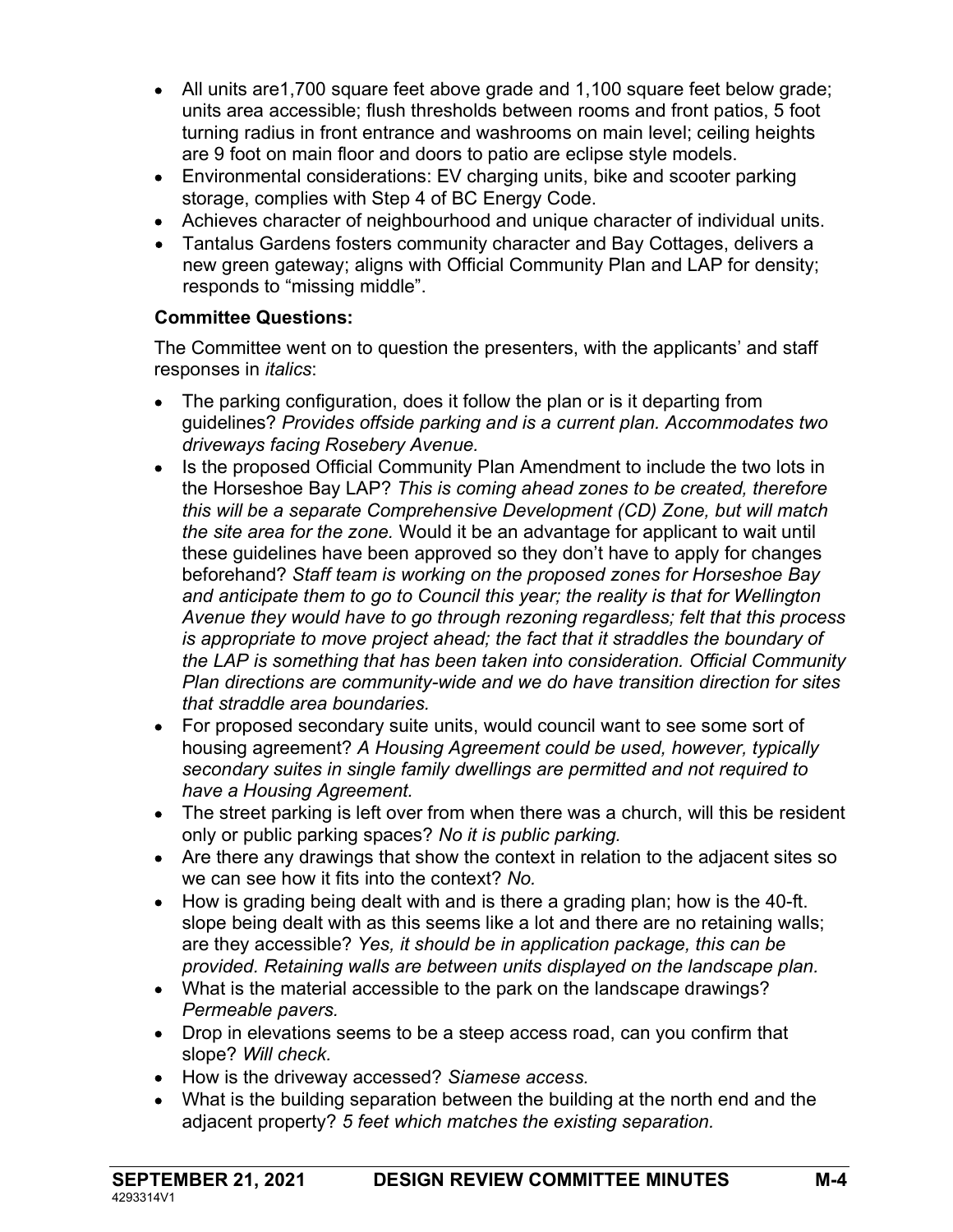- All units are1,700 square feet above grade and 1,100 square feet below grade; units area accessible; flush thresholds between rooms and front patios, 5 foot turning radius in front entrance and washrooms on main level; ceiling heights are 9 foot on main floor and doors to patio are eclipse style models.
- Environmental considerations: EV charging units, bike and scooter parking storage, complies with Step 4 of BC Energy Code.
- Achieves character of neighbourhood and unique character of individual units.
- Tantalus Gardens fosters community character and Bay Cottages, delivers a new green gateway; aligns with Official Community Plan and LAP for density; responds to "missing middle".

# Committee Questions:

The Committee went on to question the presenters, with the applicants' and staff responses in *italics*:

- The parking configuration, does it follow the plan or is it departing from guidelines? Provides offside parking and is a current plan. Accommodates two driveways facing Rosebery Avenue.
- Is the proposed Official Community Plan Amendment to include the two lots in the Horseshoe Bay LAP? This is coming ahead zones to be created, therefore this will be a separate Comprehensive Development (CD) Zone, but will match the site area for the zone. Would it be an advantage for applicant to wait until these guidelines have been approved so they don't have to apply for changes beforehand? Staff team is working on the proposed zones for Horseshoe Bay and anticipate them to go to Council this year; the reality is that for Wellington Avenue they would have to go through rezoning regardless; felt that this process is appropriate to move project ahead; the fact that it straddles the boundary of the LAP is something that has been taken into consideration. Official Community Plan directions are community-wide and we do have transition direction for sites that straddle area boundaries.
- For proposed secondary suite units, would council want to see some sort of housing agreement? A Housing Agreement could be used, however, typically secondary suites in single family dwellings are permitted and not required to have a Housing Agreement.
- The street parking is left over from when there was a church, will this be resident only or public parking spaces? No it is public parking.
- Are there any drawings that show the context in relation to the adjacent sites so we can see how it fits into the context? No.
- How is grading being dealt with and is there a grading plan; how is the 40-ft. slope being dealt with as this seems like a lot and there are no retaining walls; are they accessible? Yes, it should be in application package, this can be provided. Retaining walls are between units displayed on the landscape plan.
- What is the material accessible to the park on the landscape drawings? Permeable pavers.
- Drop in elevations seems to be a steep access road, can you confirm that slope? Will check.
- How is the driveway accessed? Siamese access.
- What is the building separation between the building at the north end and the adjacent property? 5 feet which matches the existing separation.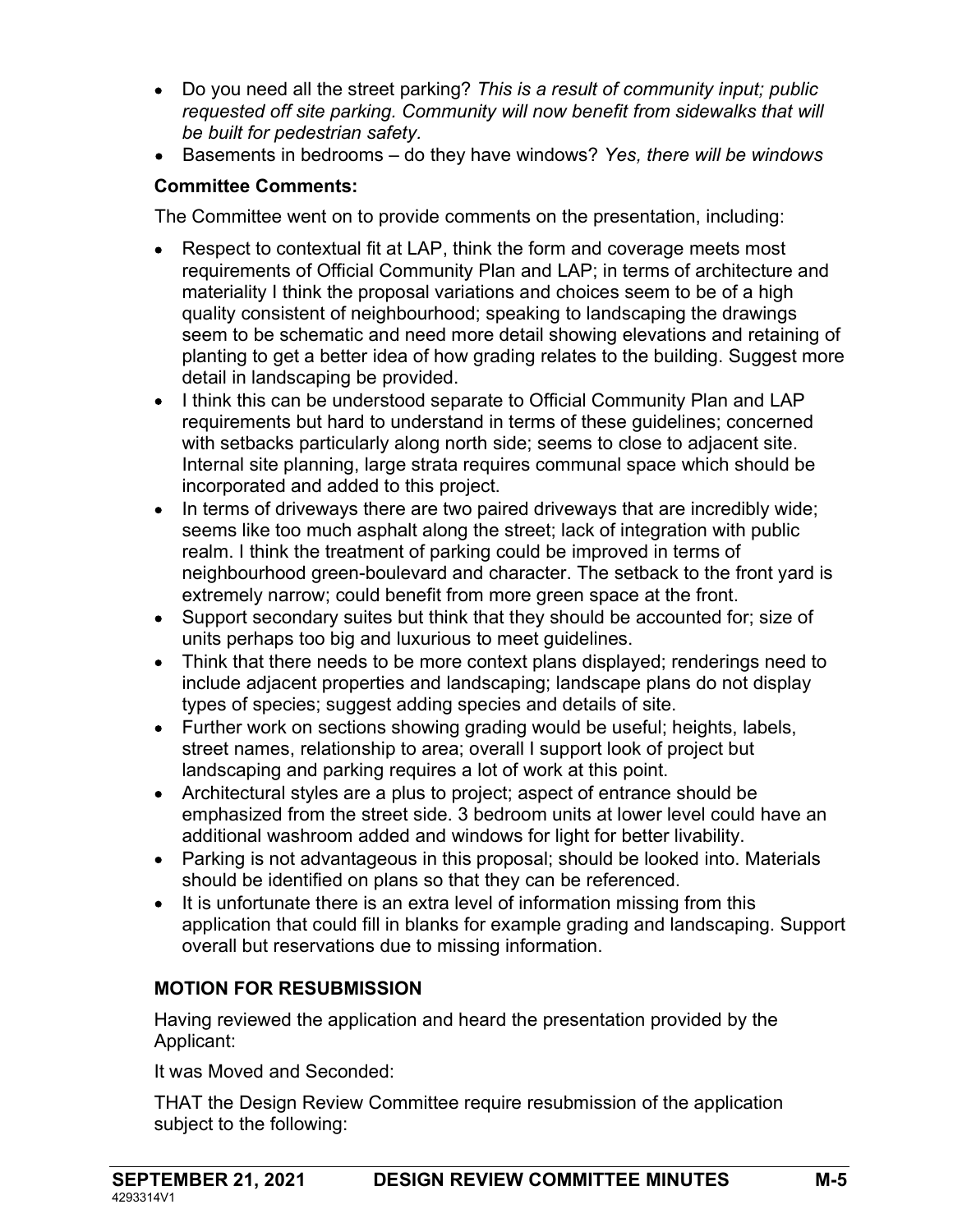- Do you need all the street parking? This is a result of community input; public requested off site parking. Community will now benefit from sidewalks that will be built for pedestrian safety.
- **Basements in bedrooms**  $-$  do they have windows? Yes, there will be windows

### Committee Comments:

The Committee went on to provide comments on the presentation, including:

- Respect to contextual fit at LAP, think the form and coverage meets most requirements of Official Community Plan and LAP; in terms of architecture and materiality I think the proposal variations and choices seem to be of a high quality consistent of neighbourhood; speaking to landscaping the drawings seem to be schematic and need more detail showing elevations and retaining of planting to get a better idea of how grading relates to the building. Suggest more detail in landscaping be provided.
- I think this can be understood separate to Official Community Plan and LAP requirements but hard to understand in terms of these guidelines; concerned with setbacks particularly along north side; seems to close to adjacent site. Internal site planning, large strata requires communal space which should be incorporated and added to this project.
- $\bullet$  In terms of driveways there are two paired driveways that are incredibly wide; seems like too much asphalt along the street; lack of integration with public realm. I think the treatment of parking could be improved in terms of neighbourhood green-boulevard and character. The setback to the front yard is extremely narrow; could benefit from more green space at the front.
- Support secondary suites but think that they should be accounted for; size of units perhaps too big and luxurious to meet guidelines.
- Think that there needs to be more context plans displayed; renderings need to include adjacent properties and landscaping; landscape plans do not display types of species; suggest adding species and details of site.
- Further work on sections showing grading would be useful; heights, labels, street names, relationship to area; overall I support look of project but landscaping and parking requires a lot of work at this point.
- Architectural styles are a plus to project; aspect of entrance should be emphasized from the street side. 3 bedroom units at lower level could have an additional washroom added and windows for light for better livability.
- Parking is not advantageous in this proposal; should be looked into. Materials should be identified on plans so that they can be referenced.
- It is unfortunate there is an extra level of information missing from this application that could fill in blanks for example grading and landscaping. Support overall but reservations due to missing information.

# MOTION FOR RESUBMISSION

Having reviewed the application and heard the presentation provided by the Applicant:

It was Moved and Seconded:

THAT the Design Review Committee require resubmission of the application subject to the following: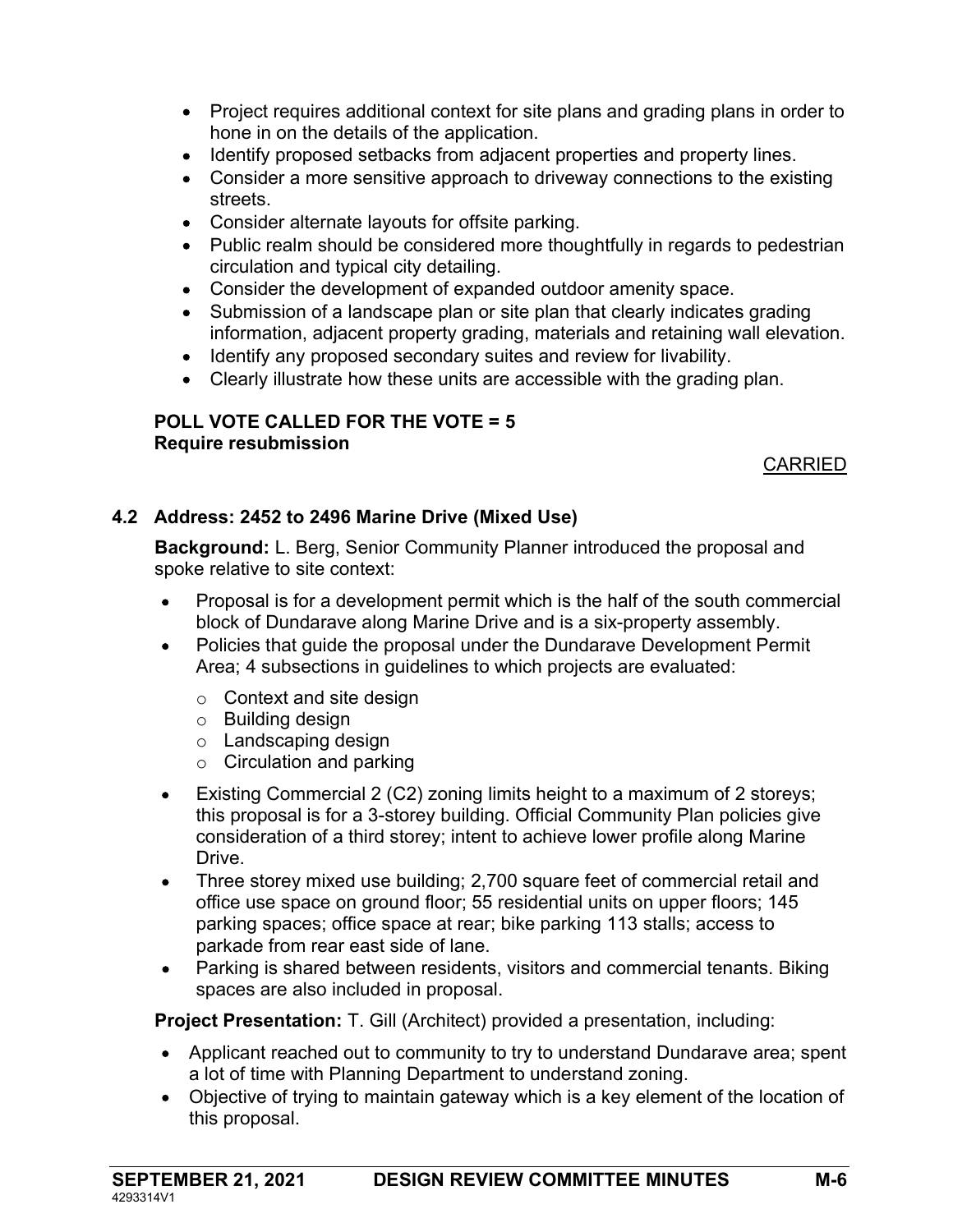- Project requires additional context for site plans and grading plans in order to hone in on the details of the application.
- Identify proposed setbacks from adjacent properties and property lines.
- Consider a more sensitive approach to driveway connections to the existing streets.
- Consider alternate layouts for offsite parking.
- Public realm should be considered more thoughtfully in regards to pedestrian circulation and typical city detailing.
- Consider the development of expanded outdoor amenity space.
- Submission of a landscape plan or site plan that clearly indicates grading information, adjacent property grading, materials and retaining wall elevation.
- Identify any proposed secondary suites and review for livability.
- Clearly illustrate how these units are accessible with the grading plan.

#### POLL VOTE CALLED FOR THE VOTE = 5 Require resubmission

#### CARRIED

### 4.2 Address: 2452 to 2496 Marine Drive (Mixed Use)

Background: L. Berg, Senior Community Planner introduced the proposal and spoke relative to site context:

- Proposal is for a development permit which is the half of the south commercial block of Dundarave along Marine Drive and is a six-property assembly.
- Policies that guide the proposal under the Dundarave Development Permit Area; 4 subsections in guidelines to which projects are evaluated:
	- $\circ$  Context and site design
	- o Building design
	- o Landscaping design
	- $\circ$  Circulation and parking
- Existing Commercial 2 (C2) zoning limits height to a maximum of 2 storeys; this proposal is for a 3-storey building. Official Community Plan policies give consideration of a third storey; intent to achieve lower profile along Marine **Drive**
- Three storey mixed use building; 2,700 square feet of commercial retail and office use space on ground floor; 55 residential units on upper floors; 145 parking spaces; office space at rear; bike parking 113 stalls; access to parkade from rear east side of lane.
- Parking is shared between residents, visitors and commercial tenants. Biking spaces are also included in proposal.

**Project Presentation:** T. Gill (Architect) provided a presentation, including:

- Applicant reached out to community to try to understand Dundarave area; spent a lot of time with Planning Department to understand zoning.
- Objective of trying to maintain gateway which is a key element of the location of this proposal.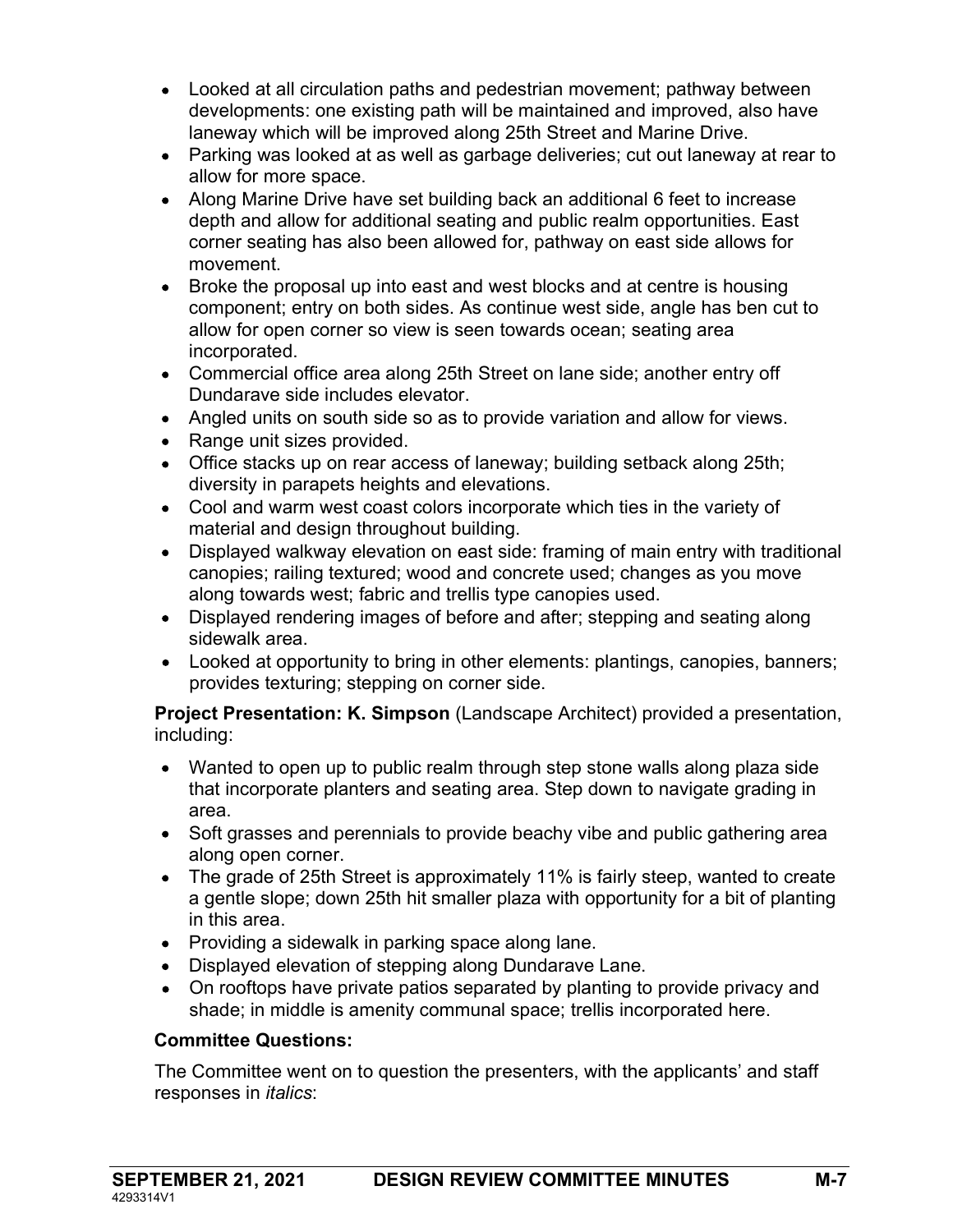- Looked at all circulation paths and pedestrian movement; pathway between developments: one existing path will be maintained and improved, also have laneway which will be improved along 25th Street and Marine Drive.
- Parking was looked at as well as garbage deliveries; cut out laneway at rear to allow for more space.
- Along Marine Drive have set building back an additional 6 feet to increase depth and allow for additional seating and public realm opportunities. East corner seating has also been allowed for, pathway on east side allows for movement.
- Broke the proposal up into east and west blocks and at centre is housing component; entry on both sides. As continue west side, angle has ben cut to allow for open corner so view is seen towards ocean; seating area incorporated.
- Commercial office area along 25th Street on lane side; another entry off Dundarave side includes elevator.
- Angled units on south side so as to provide variation and allow for views.
- Range unit sizes provided.
- Office stacks up on rear access of laneway; building setback along 25th; diversity in parapets heights and elevations.
- Cool and warm west coast colors incorporate which ties in the variety of material and design throughout building.
- Displayed walkway elevation on east side: framing of main entry with traditional canopies; railing textured; wood and concrete used; changes as you move along towards west; fabric and trellis type canopies used.
- Displayed rendering images of before and after; stepping and seating along sidewalk area.
- Looked at opportunity to bring in other elements: plantings, canopies, banners; provides texturing; stepping on corner side.

Project Presentation: K. Simpson (Landscape Architect) provided a presentation, including:

- Wanted to open up to public realm through step stone walls along plaza side that incorporate planters and seating area. Step down to navigate grading in area.
- Soft grasses and perennials to provide beachy vibe and public gathering area along open corner.
- The grade of 25th Street is approximately 11% is fairly steep, wanted to create a gentle slope; down 25th hit smaller plaza with opportunity for a bit of planting in this area.
- Providing a sidewalk in parking space along lane.
- Displayed elevation of stepping along Dundarave Lane.
- On rooftops have private patios separated by planting to provide privacy and shade; in middle is amenity communal space; trellis incorporated here.

#### Committee Questions:

The Committee went on to question the presenters, with the applicants' and staff responses in *italics*: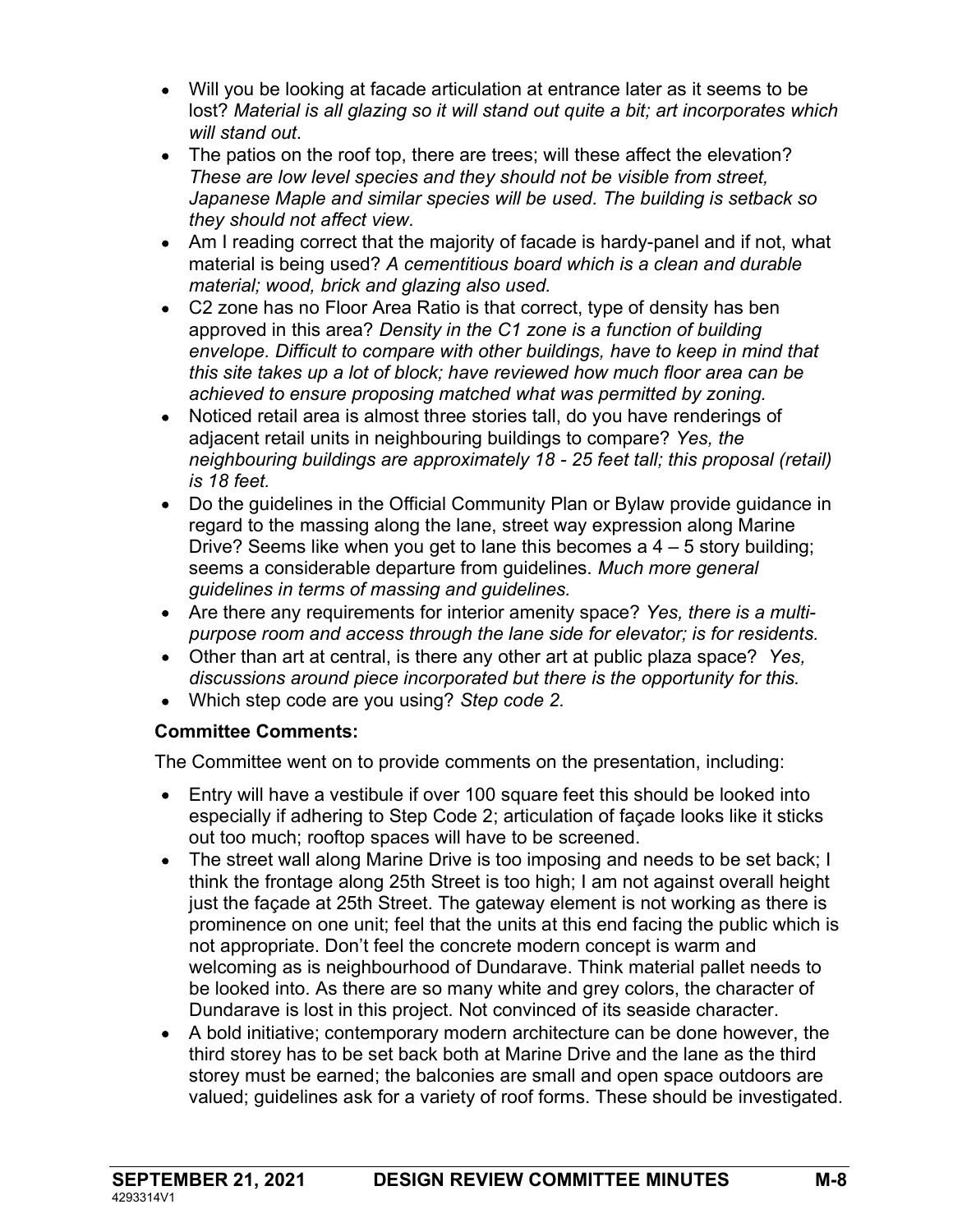- Will you be looking at facade articulation at entrance later as it seems to be lost? Material is all glazing so it will stand out quite a bit; art incorporates which will stand out.
- The patios on the roof top, there are trees; will these affect the elevation? These are low level species and they should not be visible from street, Japanese Maple and similar species will be used. The building is setback so they should not affect view.
- Am I reading correct that the majority of facade is hardy-panel and if not, what material is being used? A cementitious board which is a clean and durable material; wood, brick and glazing also used.
- C2 zone has no Floor Area Ratio is that correct, type of density has ben approved in this area? Density in the C1 zone is a function of building envelope. Difficult to compare with other buildings, have to keep in mind that this site takes up a lot of block; have reviewed how much floor area can be achieved to ensure proposing matched what was permitted by zoning.
- Noticed retail area is almost three stories tall, do you have renderings of adjacent retail units in neighbouring buildings to compare? Yes, the neighbouring buildings are approximately 18 - 25 feet tall; this proposal (retail) is 18 feet.
- Do the guidelines in the Official Community Plan or Bylaw provide guidance in regard to the massing along the lane, street way expression along Marine Drive? Seems like when you get to lane this becomes a  $4 - 5$  story building; seems a considerable departure from guidelines. Much more general guidelines in terms of massing and guidelines.
- Are there any requirements for interior amenity space? Yes, there is a multipurpose room and access through the lane side for elevator; is for residents.
- Other than art at central, is there any other art at public plaza space? Yes, discussions around piece incorporated but there is the opportunity for this.
- Which step code are you using? Step code 2.

#### Committee Comments:

The Committee went on to provide comments on the presentation, including:

- Entry will have a vestibule if over 100 square feet this should be looked into especially if adhering to Step Code 2; articulation of façade looks like it sticks out too much; rooftop spaces will have to be screened.
- The street wall along Marine Drive is too imposing and needs to be set back; I think the frontage along 25th Street is too high; I am not against overall height just the façade at 25th Street. The gateway element is not working as there is prominence on one unit; feel that the units at this end facing the public which is not appropriate. Don't feel the concrete modern concept is warm and welcoming as is neighbourhood of Dundarave. Think material pallet needs to be looked into. As there are so many white and grey colors, the character of Dundarave is lost in this project. Not convinced of its seaside character.
- A bold initiative; contemporary modern architecture can be done however, the third storey has to be set back both at Marine Drive and the lane as the third storey must be earned; the balconies are small and open space outdoors are valued; guidelines ask for a variety of roof forms. These should be investigated.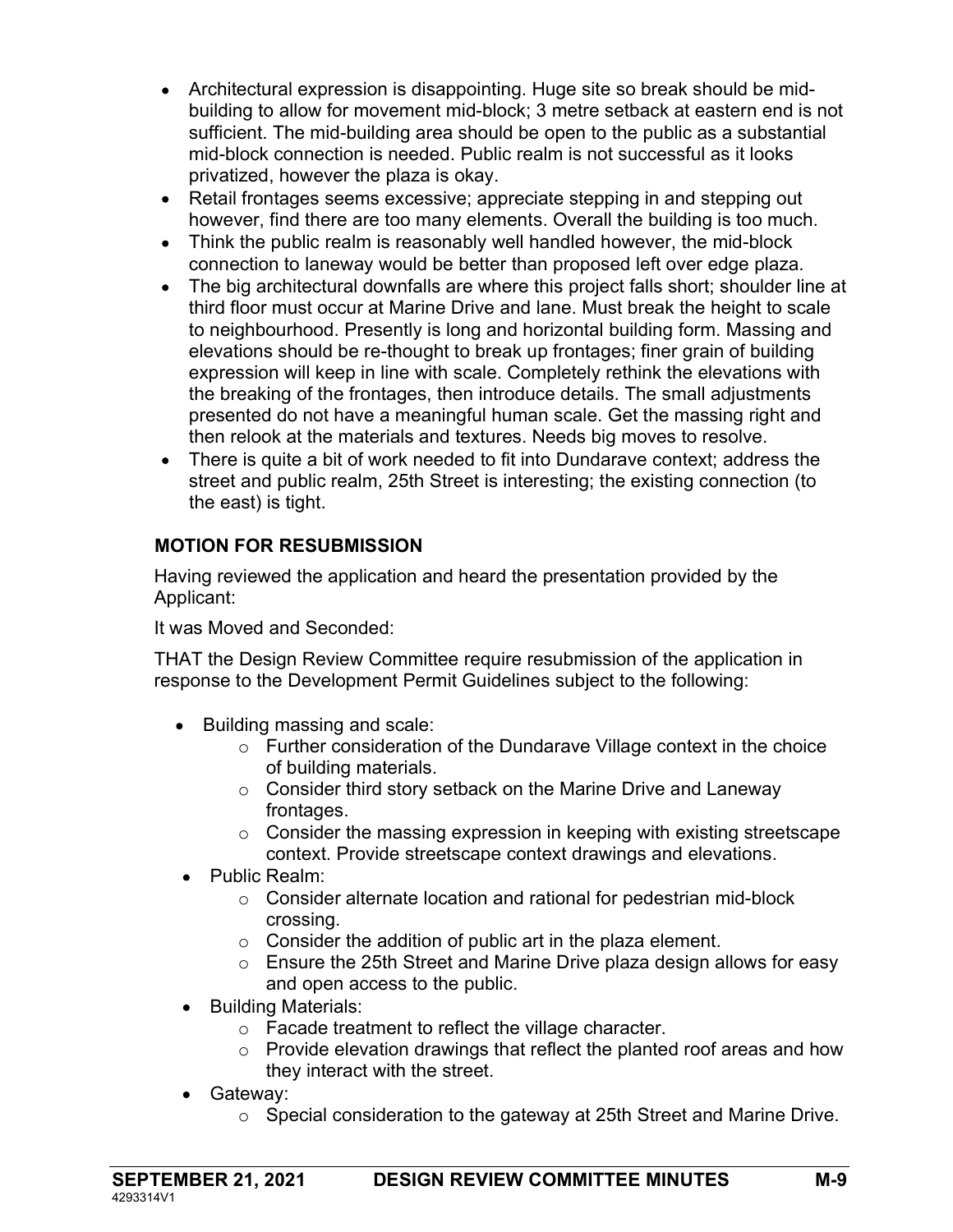- Architectural expression is disappointing. Huge site so break should be midbuilding to allow for movement mid-block; 3 metre setback at eastern end is not sufficient. The mid-building area should be open to the public as a substantial mid-block connection is needed. Public realm is not successful as it looks privatized, however the plaza is okay.
- Retail frontages seems excessive; appreciate stepping in and stepping out however, find there are too many elements. Overall the building is too much.
- Think the public realm is reasonably well handled however, the mid-block connection to laneway would be better than proposed left over edge plaza.
- The big architectural downfalls are where this project falls short: shoulder line at third floor must occur at Marine Drive and lane. Must break the height to scale to neighbourhood. Presently is long and horizontal building form. Massing and elevations should be re-thought to break up frontages; finer grain of building expression will keep in line with scale. Completely rethink the elevations with the breaking of the frontages, then introduce details. The small adjustments presented do not have a meaningful human scale. Get the massing right and then relook at the materials and textures. Needs big moves to resolve.
- There is quite a bit of work needed to fit into Dundarave context; address the street and public realm, 25th Street is interesting; the existing connection (to the east) is tight.

# MOTION FOR RESUBMISSION

Having reviewed the application and heard the presentation provided by the Applicant:

It was Moved and Seconded:

THAT the Design Review Committee require resubmission of the application in response to the Development Permit Guidelines subject to the following:

- Building massing and scale:
	- o Further consideration of the Dundarave Village context in the choice of building materials.
	- o Consider third story setback on the Marine Drive and Laneway frontages.
	- $\circ$  Consider the massing expression in keeping with existing streetscape context. Provide streetscape context drawings and elevations.
- Public Realm:
	- o Consider alternate location and rational for pedestrian mid-block crossing.
	- $\circ$  Consider the addition of public art in the plaza element.
	- $\circ$  Ensure the 25th Street and Marine Drive plaza design allows for easy and open access to the public.
- Building Materials:
	- o Facade treatment to reflect the village character.
	- o Provide elevation drawings that reflect the planted roof areas and how they interact with the street.
- Gateway:
	- o Special consideration to the gateway at 25th Street and Marine Drive.